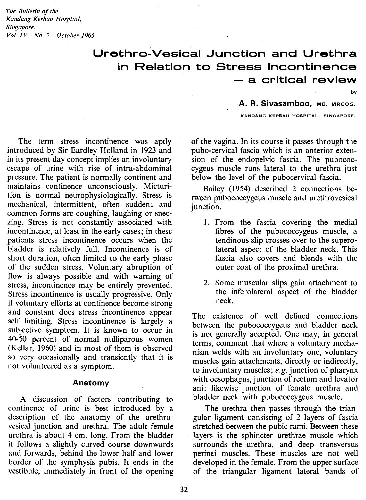*The' Bulletin of the Kandang Kerbau Hospital, Singapore. Vol. IV-No. 2-0ctober 1965*

> **Urethro-Vesical Junction and Urethra in Relation to Stress Incontinence - a critical review**

> > by

**A. R. Sivasamboo, мв. мвсос.** 

KANDANG KERBAU HOSPITAL, SINGAPORE.

The term stress incontinence was aptly introduced by Sir Eardley Holland in 1923 and in its present day concept implies an involuntary escape of urine with rise of intra-abdominal pressure. The patient is normally continent and maintains continence unconsciously. Micturition is normal neurophysiologically. Stress is mechanical, intermittent, often sudden; and common forms are coughing, laughing or sneezing. Stress is not constantly associated with incontinence, at least in the early cases; in these patients stress incontinence occurs when the bladder is relatively full. Incontinence is of short duration, often limited to the early phase of the sudden stress. Voluntary abruption of flow is always possible and with warning of stress, incontinence may be entirely prevented. Stress incontinence is usually progressive. Only if voluntary efforts at continence become strong and constant does stress incontinence appear self limiting. Stress incontinence is largely a subjective symptom. It is known to occur in 40-50 percent of normal nulliparous women (Kellar, 1960) and in most of them is observed so very occasionally and transiently that it is not volunteered as a symptom.

#### Anatomy

A discussion of factors contributing to continence of urine is best introduced by a description of the anatomy of the urethrovesical junction and urethra. The adult female urethra is about 4 cm. long. From the bladder it follows a slightly curved course downwards and forwards, behind the lower half and lower border of the symphysis pubis. It ends in the vestibule, immediately in front of the opening

of the vagina. In its course it passes through the pubo-cervical fascia which is an anterior extension of the endopelvic fascia. The pubococcygeus muscle runs lateral to the urethra just below the level of the pubocervical fascia.

Bailey (1954) described 2 connections between pubococcygeus muscle and urethrovesical junction.

- 1. From the fascia covering the medial fibres of the pubococcygeus muscle, a tendinous slip crosses over to the superolateral aspect of the bladder neck. This fascia also covers and blends with the outer coat of the proximal urethra.
- 2. Some muscular slips gain attachment to the inferolateral aspect of the bladder neck.

The existence of well defined connections between the pubococcygeus and bladder neck is not generally accepted. One may, in general terms, comment that where a voluntary mechanism welds with an involuntary one, voluntary muscles gain attachments, directly or indirectly, to involuntary muscles; *e.g.* junction of pharynx with oesophagus, junction of rectum and levator ani; likewise junction of female urethra and bladder neck with pubococcygeus muscle.

The urethra then passes through the triangular ligament consisting of 2 layers of fascia stretched between the pubic rami. Between these layers is the sphincter urethrae muscle which surrounds the urethra, and deep transversus perinei muscles. These muscles are not well developed in the female. From the upper surface of the triangular ligament lateral bands of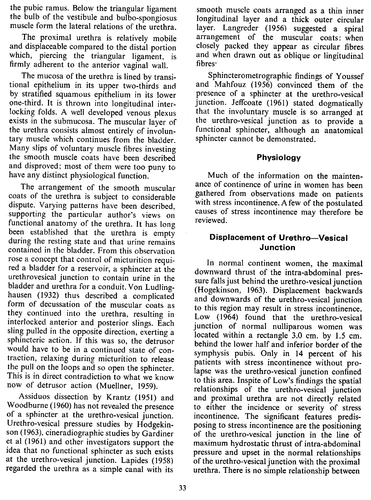the pubic ramus. Below the triangular ligament the bulb of the vestibule and bulbo-spongiosus muscle form the lateral relations of the urethra.

The proximal urethra is relatively mobile and displaceable compared to the distal portion which, piercing the triangular ligament, is firmly adherent to the anterior vaginal wall.

The mucosa of the urethra is lined by transitional epithelium in its upper two-thirds and by stratified squamous epithelium in its lower one-third. It is thrown into longitudinal interlocking folds. A well developed venous plexus exists in the submucosa. The muscular layer of the urethra consists almost entirely of involuntary muscle which continues from the bladder. Many slips of voluntary muscle fibres investing the smooth muscle coats have been described and disproved; most of them were too puny to have any distinct physiological function.

The arrangement of the smooth muscular coats of the urethra is subject to considerable dispute. Varying patterns have been described, supporting the particular author's views on functional anatomy of the urethra. It has long been established that the urethra is empty during the resting state and that urine remains contained in the bladder. From this observation rose a concept that control of micturition required a bladder for a reservoir, a sphincter at the urethrovesical junction to contain urine in the bladder and urethra for a conduit. Von Ludlinghausen (1932) thus described a complicated form of decussation of the muscular coats as they continued into the urethra, resulting in interlocked anterior and posterior slings. Each sling pulled in the opposite direction, exerting a sphincteric action. If this was so, the detrusor would have to be in a continued state of contraction, relaxing during micturition to release the pull on the loops and so open the sphincter. This is in direct contradiction to what we know now of detrusor action (Muellner, 1959).

Assiduos dissection by Krantz (1951) and Woodburne (1960) has not revealed the presence of a sphincter at the urethro-vesical junction. Urethro-vesical pressure studies by Hodgekinson (1963), cineradiographic studies by Gardiner et al (1961) and other investigators support the idea that no functional sphincter as such exists at the urethro-vesical junction. Lapides (1958) regarded the urethra as a simple canal with its

smooth muscle coats arranged as a thin inner longitudinal layer and a thick outer circular layer. Langreder (1956) suggested a spiral arrangement of the muscular coats: when closely packed they appear as circular fibres and when drawn out as oblique or lingitudinal fibres'

Sphincterometrographic findings of Youssef and Mahfouz (1956) convinced them of the presence of a sphincter at the urethro-vesical junction. Jeffcoate (1961) stated dogmatically that the involuntary muscle is so arranged at the urethro-vesical junction as to provide a functional sphincter, although an anatomical sphincter cannot be demonstrated.

### **Physiology**

Much of the information on the maintenance of continence of urine in women has been gathered from observations made on patients with stress incontinence. A few of the postulated causes of stress incontinence may therefore be reviewed.

# **Displacement of Urethro-Vesical Junction**

In normal continent women, the maximal downward thrust of the intra-abdominal pressure falls just behind the urethro-vesical junction (Hogekinson, 1963). Displacement backwards and downwards of the urethro-vesical junction to this region may result in stress incontinence. Low (1964) found that the urethro-vesical junction of normal nulliparous women was located within a rectangle 3.0 em. by 1.5 cm. behind the lower half and inferior border of the symphysis pubis. Only in 14 percent of his patients with stress incontinence without prolapse was the urethro-vesical junction confined to this area. Inspite of Low's findings the spatial relationships of the urethro-vesical junction and proximal urethra are not directly related to either the incidence or severity of stress incontinence. The significant features predisposing to stress incontinence are the positioning of the urethro-vesical junction in the line of maximum hydrostatic thrust of intra-abdominal pressure and upset in the normal relationships of the urethro-vesical junction with the proximal urethra. There is no simple relationship between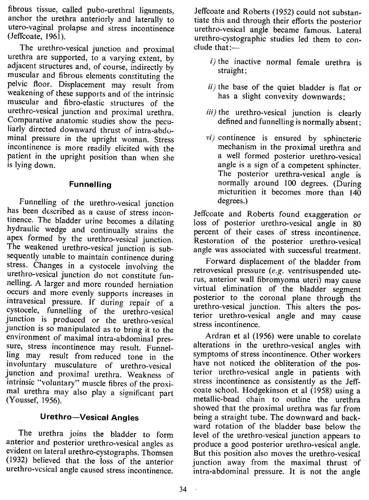fibrous tissue, called pubo-urethral ligaments, anchor the urethra anteriorly and laterally to utero-vaginal prolapse and stress incontinence (Jeffcoate, 1961).

The urethro-vesical junction and proximal urethra are supported, to a varying extent, by adjacent structures and, of course, indirectly by muscular and fibrous elements constituting the pelvic floor. Displacement may result from weakening of these supports and of the intrinsic muscular and fibro-elastic structures of the urethro-vesical junction and proximal urethra. Comparative anatomic studies show the peculiarly directed downward thrust of intra-abdominal pressure in the upright woman. Stress incontinence is more readily elicited with the patient in the upright position than when she is lying down.

# **Funnelling**

Funnelling of the urethro-vesical junction has been described as a cause of stress incontinence. The bladder urine becomes a dilating hydraulic wedge and continually strains the apex formed by the urethro-vesical junction. The weakened urethro-vesical junction is subsequently unable to maintain continence during stress. Changes in a cystocele involving the urethro-vesical junction do not constitute funnelling. A larger and more rounded herniation occurs and more evenly supports increases in intravesical pressure. If during repair of a cystocele, funnelling of the urethro-vesical junction is produced or the urethro-vesical junction is so manipulated as to bring it to the environment of maximal intra-abdominal pressure, stress incontinence may result. Funnelling may result from reduced tone in the involuntary musculature of urethro-vesical junction and proximal urethra. Weakness of intrinsic "voluntary" muscle fibres of the proximal urethra may also play a significant part (Youssef, 1956).

### **Urethro-Vesical Angles**

The urethra joins the bladder to form anterior and posterior urethro-vesical angles as evident on lateral urethro-cystographs. Thomsen (1932) believed that the loss of the anterior urethro-vesical angle caused stress incontinence.

Jeffcoate and Roberts (1952) could not substantiate this and through their efforts the posterior urethro-vesical angle became famous. Lateral urethro-cystographic studies led them to con $clude that:$ 

- *i)* the inactive normal female urethra is straight;
- *ii)* the base of the quiet bladder is flat or has a slight convexity downwards;
- *iii)* the urethro-vesical junction is clearly defined and funnelling is normally absent;
- *vi)* continence is ensured by sphincteric mechanism in the proximal urethra and a well formed posterior urethro-vesical angle is a sign of a competent sphincter. The posterior urethra-vesical angle is normally around 100 degrees. (During micturition it becomes more than 140 degrees.)

Jeffcoate and Roberts found exaggeration or loss of posterior urethro-vesical angle in 80 percent of their cases of stress incontinence. Restoration of the posterior urethro-vesical angle was associated with successful treatment.

Forward displacement of the bladder from retrovesical pressure (e.g. ventrisuspended uterus, anterior wall fibromyoma uteri) may cause virtual elimination of the bladder segment posterior to the coronal plane through the urethro-vesical junction. This alters the posterior urethro-vesical angle and may cause stress incontinence.

Ardran et al (1956) were unable to corelate alterations in the urethro-vesical angles with symptoms of stress incontinence. Other workers have not noticed the obliteration of the posterior urethra-vesical angle in patients with stress incontinence as consistently as the Jeffcoate school. Hodgekinson et al (1958) using a metallic-bead chain to outline the urethra showed that the proximal urethra was far from being a straight tube. The downward and backward rotation of the bladder base below the level of the urethro-vesical junction appears to produce a good posterior urethra-vesical angle. But this position also moves the urethro-vesical junction away from the maximal thrust of intra-abdominal pressure. It is not the angle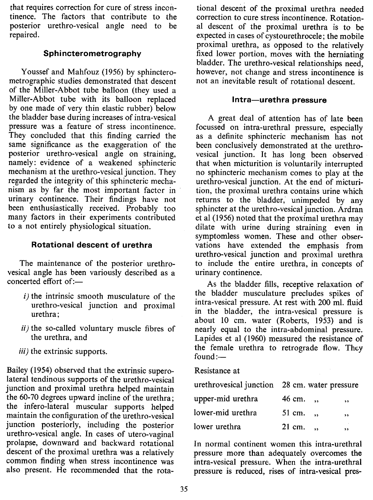that requires correction for cure of stress incontinence. The factors that contribute to the posterior urethro-vesical angle need to be repaired.

## Sphincterometrography

Youssef and Mahfouz (1956) by sphincterometrographic studies demonstrated that descent of the Miller-Abbot tube balloon (they used a Miller-Abbot tube with its balloon replaced by one made of very thin elastic rubber) below the bladder base during increases of intra-vesical pressure was a feature of stress incontinence. They concluded that this finding carried the same significance as the exaggeration of the posterior urethro-vesical angle on straining, namely: evidence of a weakened sphincteric mechanism at the urethro-vesical junction. They regarded the integrity of this sphincteric mechanism as by far the most important factor in urinary continence. Their findings have not been enthusiastically received. Probably too many factors in their experiments contributed to a not entirely physiological situation.

# Rotational descent of urethra

The maintenance of the posterior urethrovesical angle has been variously described as a  $concerted$  effort of: $-$ 

- i) the intrinsic smooth musculature of the urethro-vesical junction and proximal urethra;
- ii) the so-called voluntary muscle fibres of the urethra, and
- iii) the extrinsic supports.

Bailey (1954) observed that the extrinsic superolateral tendinous supports of the urethro-vesical junction and proximal urethra helped maintain the 60-70 degrees upward incline of the urethra; the infero-lateral muscular supports helped maintain the configuration of the urethro-vesical junction posteriorly, including the posterior urethro-vesical angle. In cases of utero-vaginal prolapse, downward and backward rotational descent of the proximal urethra was a relatively common finding when stress incontinence was also present. He recommended that the rota-

tional descent of the proximal urethra needed correction to cure stress incontinence. Rotational descent of the proximal urethra is to be expected in cases of cystourethrocele; the mobile proximal urethra, as opposed to the relatively fixed lower portion, moves with the herniating bladder. The urethro-vesical relationships need, however, not change and stress incontinence is not an inevitable result of rotational descent.

### Intra-urethra pressure

A great deal of attention has of late been focussed on intra-urethral pressure, especially as a definite sphincteric mechanism has not been conclusively demonstrated at the urethrovesical junction. It has long been observed that when micturition is voluntarily interrupted no sphincteric mechanism comes to play at the urethro-vesical junction. At the end of micturition, the proximal urethra contains urine which returns to the bladder; unimpeded by any sphincter at the urethro-vesical junction. Ardran et al (1956) noted that the proximal urethra may dilate with urine during straining even in symptomless women. These and other observations have extended the emphasis from urethro-vesical junction and proximal urethra to include the entire urethra, in concepts of urinary continence.

As the bladder fills, receptive relaxation of the bladder musculature precludes spikes of intra-vesical pressure. At rest with 200 mI. fluid in the bladder, the intra-vesical pressure is about 10 cm. water (Roberts, 1953) and is nearly equal to the intra-abdominal pressure. Lapides et al (1960) measured the resistance of the female urethra to retrograde flow. They  $found:$ 

### Resistance at

| urethrovesical junction 28 cm. water pressure |                  |    |
|-----------------------------------------------|------------------|----|
| upper-mid urethra                             | $46 \text{ cm.}$ | ,, |
| lower-mid urethra                             | $51 \text{ cm.}$ | ,, |
| lower urethra                                 | 21 cm.           | ,, |

In normal continent women this intra-urethral pressure more than adequately overcomes the intra-vesical pressure. When the intra-urethral pressure is reduced, rises of intra-vesical pres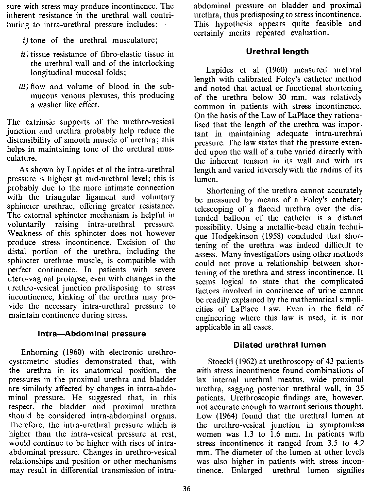sure with stress may produce incontinence. The inherent resistance in the urethral wall contributing to intra-urethral pressure includes:—

- $i)$  tone of the urethral musculature;
- $ii)$  tissue resistance of fibro-elastic tissue in the urethral wall and of the interlocking longitudinal mucosal folds;
- iii) flow and volume of blood in the submucous venous plexuses, this producing a washer like effect.

The extrinsic supports of the urethro-vesical junction and urethra probably help reduce the distensibility of smooth muscle of urethra; this helps in maintaining tone of the urethral musculature.

As shown by Lapides et al the intra-urethral pressure is highest at mid-urethral level; this is probably due to the more intimate connection with the triangular ligament and voluntary sphincter urethrae, offering greater resistance. The external sphincter mechanism is helpful in voluntarily raising intra-urethral pressure. Weakness of this sphincter does not however produce stress incontinence. Excision of the distal portion of the urethra, including the sphincter urethrae muscle, is compatible with perfect continence. **In** patients with severe utero-vaginal prolapse, even with changes in the urethra-vesical junction predisposing to stress incontinence, kinking of the urethra may provide the necessary intra-urethral pressure to maintain continence during stress.

### Intra-Abdominal pressure

Enhorning (1960) with electronic urethrocystometric studies demonstrated that, with the urethra in its anatomical position, the pressures in the proximal urethra and bladder are similarly affected by changes in intra-abdominal pressure. He suggested that, in this respect, the bladder and proximal urethra should be considered intra-abdominal organs. Therefore, the intra-urethral pressure which is higher than the intra-vesical pressure at rest, would continue to be higher with rises of intraabdominal pressure. Changes in urethro-vesical relationships and position or other mechanisms may result in differential transmission of intraabdominal pressure on bladder and proximal urethra, thus predisposing to stress incontinence. This hypothesis appears quite feasible and certainly merits repeated evaluation.

### **Urethral length**

Lapides et al (1960) measured urethral length with calibrated Foley's catheter method and noted that actual or functional shortening of the urethra below 30 mm. was relatively common in patients with stress incontinence. On the basis of the Law of LaPlace they rationalised that the length of the urethra was important in maintaining adequate intra-urethral pressure. The law states that the pressure extended upon the wall of a tube varied directly with the inherent tension in its wall and with its length and varied inversely with the radius of its lumen.

Shortening of the urethra cannot accurately be measured by means of a Foley's catheter; telescoping of a flaccid urethra over the distended balloon of the catheter is a distinct possibility. Using a metallic-bead chain technique Hodgekinson (1958) concluded that shortening of the urethra was indeed difficult to assess. Many investigatiors using other methods could not prove a relationship between shortening of the urethra and stress incontinence. It seems logical to state that the complicated factors involved in continence of urine cannot be readily explained by the mathematical simplicities of LaPlace Law. Even in the field of engineering where this law is used, it is not applicable in all cases.

### **Dilated urethral lumen**

Stoeckl (1962) at urethroscopy of 43 patients with stress incontinence found combinations of lax internal urethral meatus, wide proximal urethra, sagging posterior urethral wall, in 35 patients. Urethroscopic findings are, however, not accurate enough to warrant serious thought. Low (1964) found that the urethral lumen at the urethro-vesical junction in symptomless women was 1.3 to 1.6 mm. **In** patients with stress incontinence it ranged from 3.5 to 4.2 mm. The diameter of the lumen at other levels was also higher in patients with stress incontinence. Enlarged urethral lumen signifies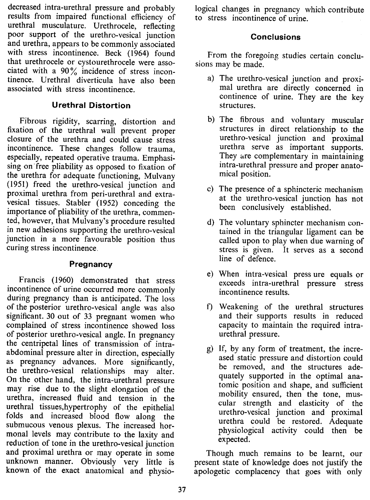decreased intra-urethral pressure and probably results from impaired functional efficiency of urethral musculature. Urethrocele, reflecting poor support of the urethro-vesical junction and urethra, appears to be commonly associated with stress incontinence. Beck (1964) found that urethrocele or cystourethrocele were associated with a  $90\%$  incidence of stress incontinence. Urethral diverticula have also been associated with stress incontinence.

## **Urethral Distortion**

Fibrous rigidity, scarring, distortion and fixation of the urethral wall prevent proper closure of the urethra and could cause stress incontinence. These changes follow trauma, especially, repeated operative trauma. Emphasising on-free pliability as opposed to fixation of the urethra for adequate functioning, Mulvany (1951) freed the urethro-vesical junction and proximal urethra from peri-urethral and extravesical tissues. Stabler (1952) conceding the importance of pliability of the urethra, commented, however, that Mulvany's procedure resulted in new adhesions supporting the urethro-vesical junction in a more favourable position thus curing stress incontinence.

## **Pregnancy**

Francis (1960) demonstrated that stress incontinence of urine occurred more commonly during pregnancy than is anticipated. The loss of the posterior urethro-vesical angle was also significant. 30 out of 33 pregnant women who complained of stress incontinence showed loss of posterior urethra-vesical angle. In pregnancy the centripetal lines of transmission of intraabdominal pressure alter in direction, especially as pregnancy advances. More significantly, the urethro-vesical relationships may alter. On the other hand, the intra-urethral pressure may rise due to the slight elongation of the urethra, increased fluid and tension in the urethral tissues,hypertrophy of the epithelial folds and increased blood flow along the submucous venous plexus. The increased hormonal levels may contribute to the laxity and reduction of tone in the urethro-vesical junction and proximal urethra or may operate in some unknown manner. Obviously very little is known of the exact anatomical and physiological changes in pregnancy which contribute to stress incontinence of urine.

# **Conclusions**

From the foregoing studies certain conclusions may be made.

- a) The urethro-vesical junction and proximal urethra are directly concerned in continence of urine. They are the key structures.
- b) The fibrous and voluntary muscular structures in direct relationship to the urethro-vesical junction and proximal urethra serve as important supports. They are complementary in maintaining intra-urethral pressure and proper anatomical position.
- c) The presence of a sphincteric mechanism at the urethra-vesical junction has not been conclusively established.
- d) The voluntary sphincter mechanism contained in the triangular ligament can be called upon to play when due warning of stress is given. It serves as a second line of defence.
- e) When intra-vesical press ure equals or exceeds intra-urethral pressure stress incontinence results.
- f) Weakening of the urethral structures and their supports results in reduced capacity to maintain the required intraurethral pressure.
- g) If, by any form of treatment, the increased static pressure and distortion could be removed, and the structures adequately supported in the optimal anatomic position and shape, and sufficient mobility ensured, then the tone, muscular strength and elasticity of the urethro-vesical junction and proximal urethra could be restored. Adequate physiological activity could then be expected.

Though much remains to be learnt, our present state of knowledge does not justify the apologetic complacency that goes with only